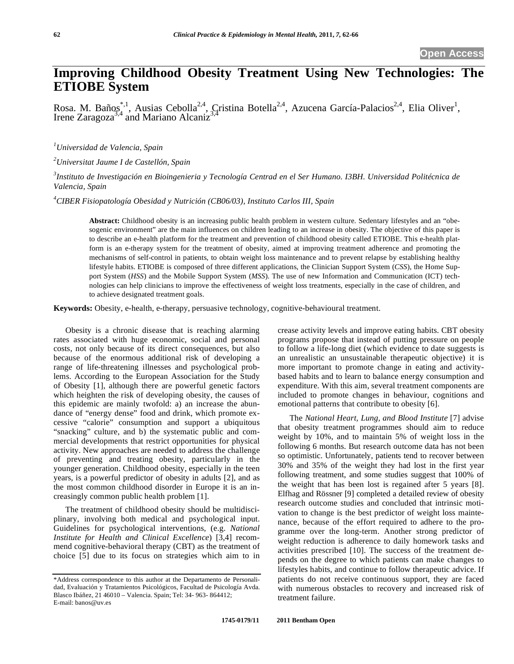# **Improving Childhood Obesity Treatment Using New Technologies: The ETIOBE System**

Rosa. M. Baños<sup>\*,1</sup>, Ausias Cebolla<sup>2,4</sup>, Cristina Botella<sup>2,4</sup>, Azucena García-Palacios<sup>2,4</sup>, Elia Oliver<sup>1</sup>, Irene Zaragoza<sup>3,4</sup> and Mariano Alcaniz<sup>3,4</sup>

*1 Universidad de Valencia, Spain*

*2 Universitat Jaume I de Castellón, Spain*

*3 Instituto de Investigación en Bioingenieria y Tecnología Centrad en el Ser Humano. I3BH. Universidad Politécnica de Valencia, Spain*

*4 CIBER Fisiopatología Obesidad y Nutrición (CB06/03), Instituto Carlos III, Spain*

**Abstract:** Childhood obesity is an increasing public health problem in western culture. Sedentary lifestyles and an "obesogenic environment" are the main influences on children leading to an increase in obesity. The objective of this paper is to describe an e-health platform for the treatment and prevention of childhood obesity called ETIOBE. This e-health platform is an e-therapy system for the treatment of obesity, aimed at improving treatment adherence and promoting the mechanisms of self-control in patients, to obtain weight loss maintenance and to prevent relapse by establishing healthy lifestyle habits. ETIOBE is composed of three different applications, the Clinician Support System (*CSS*), the Home Support System (*HSS*) and the Mobile Support System (*MSS*). The use of new Information and Communication (ICT) technologies can help clinicians to improve the effectiveness of weight loss treatments, especially in the case of children, and to achieve designated treatment goals.

**Keywords:** Obesity, e-health, e-therapy, persuasive technology, cognitive-behavioural treatment.

Obesity is a chronic disease that is reaching alarming rates associated with huge economic, social and personal costs, not only because of its direct consequences, but also because of the enormous additional risk of developing a range of life-threatening illnesses and psychological problems. According to the European Association for the Study of Obesity [1], although there are powerful genetic factors which heighten the risk of developing obesity, the causes of this epidemic are mainly twofold: a) an increase the abundance of "energy dense" food and drink, which promote excessive "calorie" consumption and support a ubiquitous "snacking" culture, and b) the systematic public and commercial developments that restrict opportunities for physical activity. New approaches are needed to address the challenge of preventing and treating obesity, particularly in the younger generation. Childhood obesity, especially in the teen years, is a powerful predictor of obesity in adults [2], and as the most common childhood disorder in Europe it is an increasingly common public health problem [1].

The treatment of childhood obesity should be multidisciplinary, involving both medical and psychological input. Guidelines for psychological interventions, (e.g. *National Institute for Health and Clinical Excellence*) [3,4] recommend cognitive-behavioral therapy (CBT) as the treatment of choice [5] due to its focus on strategies which aim to in

crease activity levels and improve eating habits. CBT obesity programs propose that instead of putting pressure on people to follow a life-long diet (which evidence to date suggests is an unrealistic an unsustainable therapeutic objective) it is more important to promote change in eating and activitybased habits and to learn to balance energy consumption and expenditure. With this aim, several treatment components are included to promote changes in behaviour, cognitions and emotional patterns that contribute to obesity [6].

The *National Heart, Lung, and Blood Institute* [7] advise that obesity treatment programmes should aim to reduce weight by 10%, and to maintain 5% of weight loss in the following 6 months. But research outcome data has not been so optimistic. Unfortunately, patients tend to recover between 30% and 35% of the weight they had lost in the first year following treatment, and some studies suggest that 100% of the weight that has been lost is regained after 5 years [8]. Elfhag and Rössner [9] completed a detailed review of obesity research outcome studies and concluded that intrinsic motivation to change is the best predictor of weight loss maintenance, because of the effort required to adhere to the programme over the long-term. Another strong predictor of weight reduction is adherence to daily homework tasks and activities prescribed [10]. The success of the treatment depends on the degree to which patients can make changes to lifestyles habits, and continue to follow therapeutic advice. If patients do not receive continuous support, they are faced with numerous obstacles to recovery and increased risk of treatment failure.

<sup>\*</sup>Address correspondence to this author at the Departamento de Personalidad, Evaluación y Tratamientos Psicológicos, Facultad de Psicología Avda. Blasco Ibáñez, 21 46010 – Valencia. Spain; Tel: 34- 963- 864412; E-mail: banos@uv.es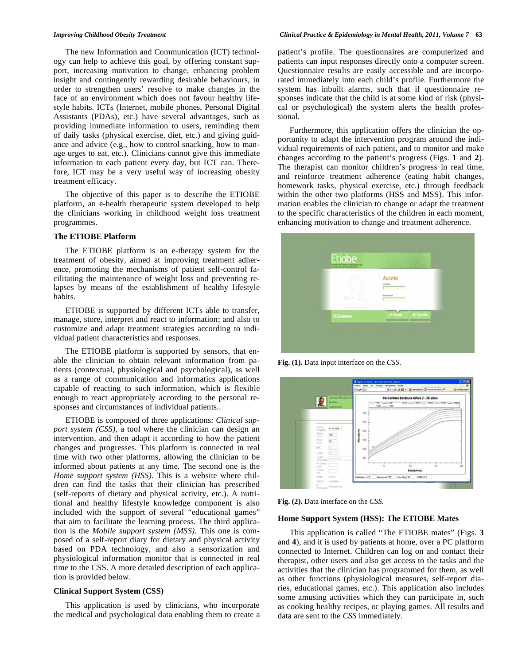The new Information and Communication (ICT) technology can help to achieve this goal, by offering constant support, increasing motivation to change, enhancing problem insight and contingently rewarding desirable behaviours, in order to strengthen users' resolve to make changes in the face of an environment which does not favour healthy lifestyle habits. ICTs (Internet, mobile phones, Personal Digital Assistants (PDAs), etc.) have several advantages, such as providing immediate information to users, reminding them of daily tasks (physical exercise, diet, etc.) and giving guidance and advice (e.g., how to control snacking, how to manage urges to eat, etc.). Clinicians cannot give this immediate information to each patient every day, but ICT can. Therefore, ICT may be a very useful way of increasing obesity treatment efficacy.

The objective of this paper is to describe the ETIOBE platform, an e-health therapeutic system developed to help the clinicians working in childhood weight loss treatment programmes.

#### **The ETIOBE Platform**

The ETIOBE platform is an e-therapy system for the treatment of obesity, aimed at improving treatment adherence, promoting the mechanisms of patient self-control facilitating the maintenance of weight loss and preventing relapses by means of the establishment of healthy lifestyle habits.

ETIOBE is supported by different ICTs able to transfer, manage, store, interpret and react to information; and also to customize and adapt treatment strategies according to individual patient characteristics and responses.

The ETIOBE platform is supported by sensors, that enable the clinician to obtain relevant information from patients (contextual, physiological and psychological), as well as a range of communication and informatics applications capable of reacting to such information, which is flexible enough to react appropriately according to the personal responses and circumstances of individual patients..

ETIOBE is composed of three applications: *Clinical support system (CSS),* a tool where the clinician can design an intervention, and then adapt it according to how the patient changes and progresses. This platform is connected in real time with two other platforms, allowing the clinician to be informed about patients at any time. The second one is the *Home support system (HSS)*. This is a website where children can find the tasks that their clinician has prescribed (self-reports of dietary and physical activity, etc.). A nutritional and healthy lifestyle knowledge component is also included with the support of several "educational games" that aim to facilitate the learning process. The third application is the *Mobile support system (MSS).* This one is composed of a self-report diary for dietary and physical activity based on PDA technology, and also a sensorization and physiological information monitor that is connected in real time to the CSS. A more detailed description of each application is provided below.

### **Clinical Support System (CSS)**

This application is used by clinicians, who incorporate the medical and psychological data enabling them to create a patient's profile. The questionnaires are computerized and patients can input responses directly onto a computer screen. Questionnaire results are easily accessible and are incorporated immediately into each child's profile. Furthermore the system has inbuilt alarms, such that if questionnaire responses indicate that the child is at some kind of risk (physical or psychological) the system alerts the health professional.

Furthermore, this application offers the clinician the opportunity to adapt the intervention program around the individual requirements of each patient, and to monitor and make changes according to the patient's progress (Figs. **1** and **2**). The therapist can monitor children's progress in real time, and reinforce treatment adherence (eating habit changes, homework tasks, physical exercise, etc.) through feedback within the other two platforms (HSS and MSS). This information enables the clinician to change or adapt the treatment to the specific characteristics of the children in each moment, enhancing motivation to change and treatment adherence.



**Fig. (1).** Data input interface on the *CSS*.

|                                                                | Arthur Edison, has Pavardon, North Andre<br>Gright (C+ | HALD OB . O feature Directorates . |            |                                                                                       | <b>Q Intereste</b> |
|----------------------------------------------------------------|--------------------------------------------------------|------------------------------------|------------|---------------------------------------------------------------------------------------|--------------------|
| <b>Allis Wilmingham Pro</b>                                    | Percentiles Estatura niños 2 - 20 años                 |                                    |            |                                                                                       |                    |
| <b>Million</b>                                                 | $\frac{1}{12}$ $\cdots$ $\frac{1}{12}$<br>PDS -- PBS   |                                    |            | $P11 \longrightarrow P21 \longrightarrow P31 \longrightarrow P71 \longrightarrow P31$ |                    |
| mitsanak                                                       |                                                        |                                    |            |                                                                                       |                    |
|                                                                | 530                                                    |                                    |            |                                                                                       |                    |
|                                                                | <b>MO</b>                                              |                                    |            |                                                                                       |                    |
| Factor                                                         |                                                        |                                    |            |                                                                                       |                    |
| 91-10-2008<br><b>Heates</b><br>Atura.                          | 143                                                    |                                    |            |                                                                                       |                    |
| 56<br>8211                                                     |                                                        |                                    |            |                                                                                       |                    |
| Paid<br>第二<br>in ar                                            | 123                                                    |                                    |            |                                                                                       |                    |
| t/C<br>原则                                                      |                                                        |                                    |            |                                                                                       |                    |
| $5 - 1$<br>Heat:                                               | 130                                                    |                                    |            |                                                                                       |                    |
| Glade.                                                         |                                                        |                                    |            |                                                                                       |                    |
| $\frac{1}{2}$ (iii) $\frac{1}{2}$ and $\frac{1}{2}$<br>Оберфей | <b>tO</b>                                              |                                    |            |                                                                                       |                    |
| M Greek<br><b>Hitti</b>                                        |                                                        |                                    |            | t5                                                                                    | 20                 |
| ticana                                                         |                                                        |                                    | Eded(Afox) |                                                                                       |                    |
| PkI.                                                           |                                                        |                                    |            |                                                                                       |                    |
| Main<br><b>Swing</b>                                           | Edukulor) 28                                           | Abouted 108 Presiliat 20 1862 207  |            |                                                                                       |                    |

**Fig. (2).** Data interface on the *CSS.*

### **Home Support System (HSS): The ETIOBE Mates**

This application is called "The ETIOBE mates" (Figs. **3** and **4**), and it is used by patients at home, over a PC platform connected to Internet. Children can log on and contact their therapist, other users and also get access to the tasks and the activities that the clinician has programmed for them, as well as other functions (physiological measures, self-report diaries, educational games, etc.). This application also includes some amusing activities which they can participate in, such as cooking healthy recipes, or playing games. All results and data are sent to the *CSS* immediately.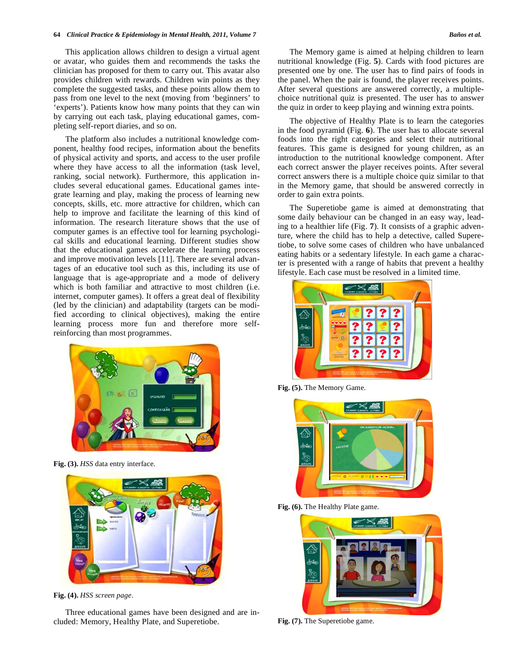This application allows children to design a virtual agent or avatar, who guides them and recommends the tasks the clinician has proposed for them to carry out. This avatar also provides children with rewards. Children win points as they complete the suggested tasks, and these points allow them to pass from one level to the next (moving from 'beginners' to 'experts'). Patients know how many points that they can win by carrying out each task, playing educational games, completing self-report diaries, and so on.

The platform also includes a nutritional knowledge component, healthy food recipes, information about the benefits of physical activity and sports, and access to the user profile where they have access to all the information (task level, ranking, social network). Furthermore, this application includes several educational games. Educational games integrate learning and play, making the process of learning new concepts, skills, etc. more attractive for children, which can help to improve and facilitate the learning of this kind of information. The research literature shows that the use of computer games is an effective tool for learning psychological skills and educational learning. Different studies show that the educational games accelerate the learning process and improve motivation levels [11]. There are several advantages of an educative tool such as this, including its use of language that is age-appropriate and a mode of delivery which is both familiar and attractive to most children (i.e. internet, computer games). It offers a great deal of flexibility (led by the clinician) and adaptability (targets can be modified according to clinical objectives), making the entire learning process more fun and therefore more selfreinforcing than most programmes.



**Fig. (3).** *HSS* data entry interface.



**Fig. (4).** *HSS screen page*.

Three educational games have been designed and are included: Memory, Healthy Plate, and Superetiobe.

The Memory game is aimed at helping children to learn nutritional knowledge (Fig. **5**). Cards with food pictures are presented one by one. The user has to find pairs of foods in the panel. When the pair is found, the player receives points. After several questions are answered correctly, a multiplechoice nutritional quiz is presented. The user has to answer the quiz in order to keep playing and winning extra points.

The objective of Healthy Plate is to learn the categories in the food pyramid (Fig. **6**). The user has to allocate several foods into the right categories and select their nutritional features. This game is designed for young children, as an introduction to the nutritional knowledge component. After each correct answer the player receives points. After several correct answers there is a multiple choice quiz similar to that in the Memory game, that should be answered correctly in order to gain extra points.

The Superetiobe game is aimed at demonstrating that some daily behaviour can be changed in an easy way, leading to a healthier life (Fig. **7**). It consists of a graphic adventure, where the child has to help a detective, called Superetiobe, to solve some cases of children who have unbalanced eating habits or a sedentary lifestyle. In each game a character is presented with a range of habits that prevent a healthy lifestyle. Each case must be resolved in a limited time.



**Fig. (5).** The Memory Game.



Fig. (6). The Healthy Plate game.



**Fig. (7).** The Superetiobe game.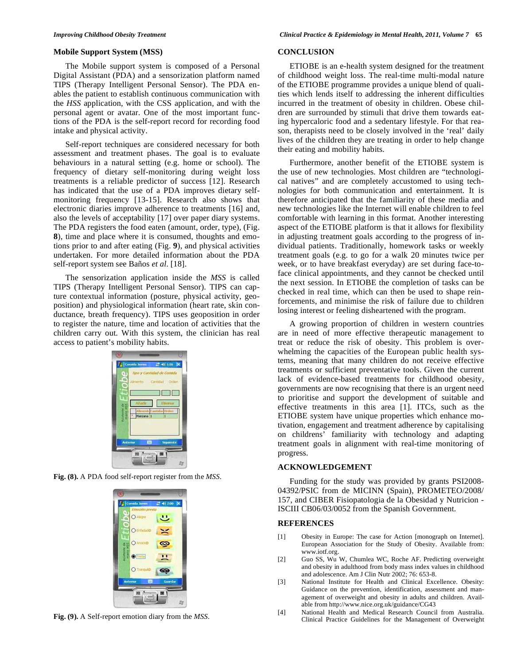### **Mobile Support System (MSS)**

The Mobile support system is composed of a Personal Digital Assistant (PDA) and a sensorization platform named TIPS (Therapy Intelligent Personal Sensor). The PDA enables the patient to establish continuous communication with the *HSS* application, with the CSS application, and with the personal agent or avatar. One of the most important functions of the PDA is the self-report record for recording food intake and physical activity.

Self-report techniques are considered necessary for both assessment and treatment phases. The goal is to evaluate behaviours in a natural setting (e.g. home or school). The frequency of dietary self-monitoring during weight loss treatments is a reliable predictor of success [12]. Research has indicated that the use of a PDA improves dietary selfmonitoring frequency [13-15]. Research also shows that electronic diaries improve adherence to treatments [16] and, also the levels of acceptability [17] over paper diary systems. The PDA registers the food eaten (amount, order, type), (Fig. **8**), time and place where it is consumed, thoughts and emotions prior to and after eating (Fig. **9**), and physical activities undertaken. For more detailed information about the PDA self-report system see Baños *et al.* [18].

The sensorization application inside the *MSS* is called TIPS (Therapy Intelligent Personal Sensor). TIPS can capture contextual information (posture, physical activity, geoposition) and physiological information (heart rate, skin conductance, breath frequency). TIPS uses geoposition in order to register the nature, time and location of activities that the children carry out. With this system, the clinician has real access to patient's mobility habits.



**Fig. (8).** A PDA food self-report register from the *MSS*.



**Fig. (9).** A Self-report emotion diary from the *MSS*.

### **CONCLUSION**

ETIOBE is an e-health system designed for the treatment of childhood weight loss. The real-time multi-modal nature of the ETIOBE programme provides a unique blend of qualities which lends itself to addressing the inherent difficulties incurred in the treatment of obesity in children. Obese children are surrounded by stimuli that drive them towards eating hypercaloric food and a sedentary lifestyle. For that reason, therapists need to be closely involved in the 'real' daily lives of the children they are treating in order to help change their eating and mobility habits.

Furthermore, another benefit of the ETIOBE system is the use of new technologies. Most children are "technological natives" and are completely accustomed to using technologies for both communication and entertainment. It is therefore anticipated that the familiarity of these media and new technologies like the Internet will enable children to feel comfortable with learning in this format. Another interesting aspect of the ETIOBE platform is that it allows for flexibility in adjusting treatment goals according to the progress of individual patients. Traditionally, homework tasks or weekly treatment goals (e.g. to go for a walk 20 minutes twice per week, or to have breakfast everyday) are set during face-toface clinical appointments, and they cannot be checked until the next session. In ETIOBE the completion of tasks can be checked in real time, which can then be used to shape reinforcements, and minimise the risk of failure due to children losing interest or feeling disheartened with the program.

A growing proportion of children in western countries are in need of more effective therapeutic management to treat or reduce the risk of obesity. This problem is overwhelming the capacities of the European public health systems, meaning that many children do not receive effective treatments or sufficient preventative tools. Given the current lack of evidence-based treatments for childhood obesity, governments are now recognising that there is an urgent need to prioritise and support the development of suitable and effective treatments in this area [1]. ITCs, such as the ETIOBE system have unique properties which enhance motivation, engagement and treatment adherence by capitalising on childrens' familiarity with technology and adapting treatment goals in alignment with real-time monitoring of progress.

#### **ACKNOWLEDGEMENT**

Funding for the study was provided by grants PSI2008- 04392/PSIC from de MICINN (Spain), PROMETEO/2008/ 157, and CIBER Fisiopatologia de la Obesidad y Nutricion - ISCIII CB06/03/0052 from the Spanish Government.

## **REFERENCES**

- [1] Obesity in Europe: The case for Action [monograph on Internet]. European Association for the Study of Obesity. Available from: www.iotf.org.
- [2] Guo SS, Wu W, Chumlea WC, Roche AF. Predicting overweight and obesity in adulthood from body mass index values in childhood and adolescence. Am J Clin Nutr 2002; 76: 653-8.
- [3] National Institute for Health and Clinical Excellence. Obesity: Guidance on the prevention, identification, assessment and management of overweight and obesity in adults and children. Available from http://www.nice.org.uk/guidance/CG43
- [4] National Health and Medical Research Council from Australia. Clinical Practice Guidelines for the Management of Overweight